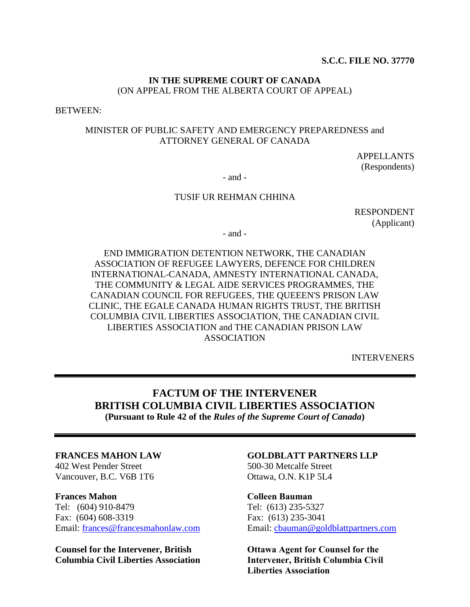### **IN THE SUPREME COURT OF CANADA** (ON APPEAL FROM THE ALBERTA COURT OF APPEAL)

BETWEEN:

### MINISTER OF PUBLIC SAFETY AND EMERGENCY PREPAREDNESS and ATTORNEY GENERAL OF CANADA

APPELLANTS (Respondents)

- and -

#### TUSIF UR REHMAN CHHINA

RESPONDENT (Applicant)

- and -

END IMMIGRATION DETENTION NETWORK, THE CANADIAN ASSOCIATION OF REFUGEE LAWYERS, DEFENCE FOR CHILDREN INTERNATIONAL-CANADA, AMNESTY INTERNATIONAL CANADA, THE COMMUNITY & LEGAL AIDE SERVICES PROGRAMMES, THE CANADIAN COUNCIL FOR REFUGEES, THE QUEEEN'S PRISON LAW CLINIC, THE EGALE CANADA HUMAN RIGHTS TRUST, THE BRITISH COLUMBIA CIVIL LIBERTIES ASSOCIATION, THE CANADIAN CIVIL LIBERTIES ASSOCIATION and THE CANADIAN PRISON LAW ASSOCIATION

INTERVENERS

# **FACTUM OF THE INTERVENER BRITISH COLUMBIA CIVIL LIBERTIES ASSOCIATION**

**(Pursuant to Rule 42 of the** *Rules of the Supreme Court of Canada***)**

#### **FRANCES MAHON LAW**

402 West Pender Street Vancouver, B.C. V6B 1T6

#### **Frances Mahon**

Tel: (604) 910-8479 Fax: (604) 608-3319 Email: [frances@francesmahonlaw.com](mailto:frances@francesmahonlaw.com)

**Counsel for the Intervener, British Columbia Civil Liberties Association**

### **GOLDBLATT PARTNERS LLP**

500-30 Metcalfe Street Ottawa, O.N. K1P 5L4

#### **Colleen Bauman**

Tel: (613) 235-5327 Fax: (613) 235-3041 Email: [cbauman@goldblattpartners.com](mailto:cbauman@goldblattpartners.com)

**Ottawa Agent for Counsel for the Intervener, British Columbia Civil Liberties Association**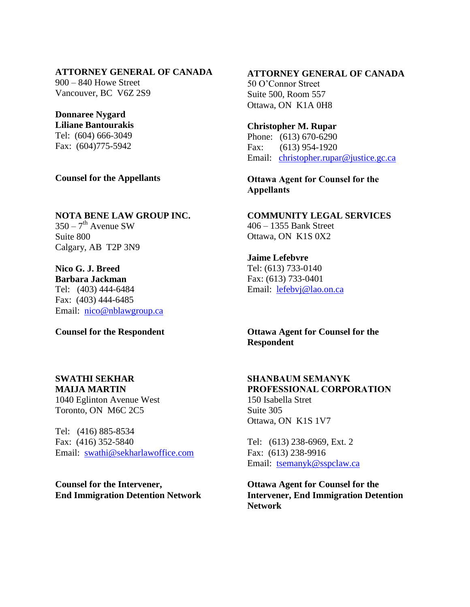### **ATTORNEY GENERAL OF CANADA**

900 – 840 Howe Street Vancouver, BC V6Z 2S9

**Donnaree Nygard Liliane Bantourakis** Tel: (604) 666-3049 Fax: (604)775-5942

**Counsel for the Appellants**

**NOTA BENE LAW GROUP INC.**  $350 - 7$ <sup>th</sup> Avenue SW Suite 800 Calgary, AB T2P 3N9

**Nico G. J. Breed Barbara Jackman** Tel: (403) 444-6484 Fax: (403) 444-6485 Email: [nico@nblawgroup.ca](mailto:nico@nblawgroup.ca)

**Counsel for the Respondent**

#### **SWATHI SEKHAR MAIJA MARTIN**

1040 Eglinton Avenue West Toronto, ON M6C 2C5

Tel: (416) 885-8534 Fax: (416) 352-5840 Email: [swathi@sekharlawoffice.com](mailto:swathi@sekharlawoffice.com)

**Counsel for the Intervener, End Immigration Detention Network** **ATTORNEY GENERAL OF CANADA** 50 O'Connor Street Suite 500, Room 557 Ottawa, ON K1A 0H8

**Christopher M. Rupar** Phone: (613) 670-6290 Fax: (613) 954-1920 Email: [christopher.rupar@justice.gc.ca](mailto:christopher.rupar@justice.gc.ca)

**Ottawa Agent for Counsel for the Appellants**

**COMMUNITY LEGAL SERVICES** 406 – 1355 Bank Street Ottawa, ON K1S 0X2

**Jaime Lefebvre** Tel: (613) 733-0140 Fax: (613) 733-0401 Email: [lefebvj@lao.on.ca](mailto:lefebvj@lao.on.ca)

**Ottawa Agent for Counsel for the Respondent**

#### **SHANBAUM SEMANYK PROFESSIONAL CORPORATION** 150 Isabella Stret Suite 305

Ottawa, ON K1S 1V7

Tel: (613) 238-6969, Ext. 2 Fax: (613) 238-9916 Email: [tsemanyk@sspclaw.ca](mailto:tsemanyk@sspclaw.ca)

**Ottawa Agent for Counsel for the Intervener, End Immigration Detention Network**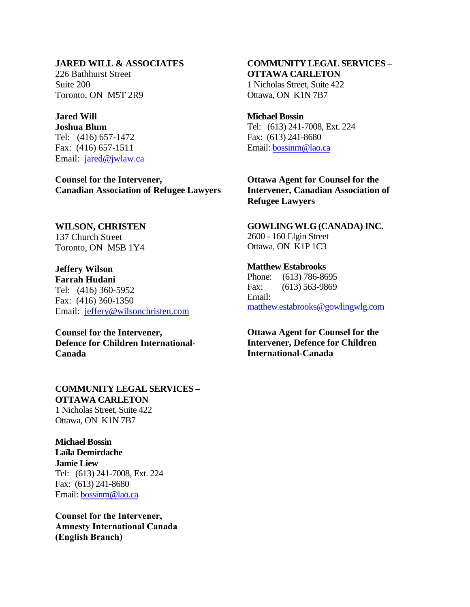#### **JARED WILL & ASSOCIATES**

226 Bathhurst Street Suite 200 Toronto, ON M5T 2R9

## **Jared Will**

**Joshua Blum** Tel: (416) 657-1472 Fax: (416) 657-1511 Email: [jared@jwlaw.ca](mailto:jared@jwlaw.ca)

**Counsel for the Intervener, Canadian Association of Refugee Lawyers**

#### **WILSON, CHRISTEN** 137 Church Street

Toronto, ON M5B 1Y4

**Jeffery Wilson Farrah Hudani** Tel: (416) 360-5952 Fax: (416) 360-1350 Email: [jeffery@wilsonchristen.com](mailto:jeffery@wilsonchristen.com)

**Counsel for the Intervener, Defence for Children International-Canada**

#### **COMMUNITY LEGAL SERVICES – OTTAWA CARLETON** 1 Nicholas Street, Suite 422

Ottawa, ON K1N 7B7

**Michael Bossin Laïla Demirdache Jamie Liew** Tel: (613) 241-7008, Ext. 224 Fax: (613) 241-8680 Email: [bossinm@lao.ca](mailto:bossinm@lao.ca)

**Counsel for the Intervener, Amnesty International Canada (English Branch)**

### **COMMUNITY LEGAL SERVICES – OTTAWA CARLETON** 1 Nicholas Street, Suite 422

Ottawa, ON K1N 7B7

#### **Michael Bossin**

Tel: (613) 241-7008, Ext. 224 Fax: (613) 241-8680 Email: [bossinm@lao.ca](mailto:bossinm@lao.ca)

### **Ottawa Agent for Counsel for the Intervener, Canadian Association of Refugee Lawyers**

#### **GOWLING WLG (CANADA) INC.**  2600 - 160 Elgin Street

Ottawa, ON K1P 1C3

### **Matthew Estabrooks**

Phone: (613) 786-8695 Fax: (613) 563-9869 Email: [matthew.estabrooks@gowlingwlg.com](mailto:matthew.estabrooks@gowlingwlg.com)

### **Ottawa Agent for Counsel for the Intervener, Defence for Children International-Canada**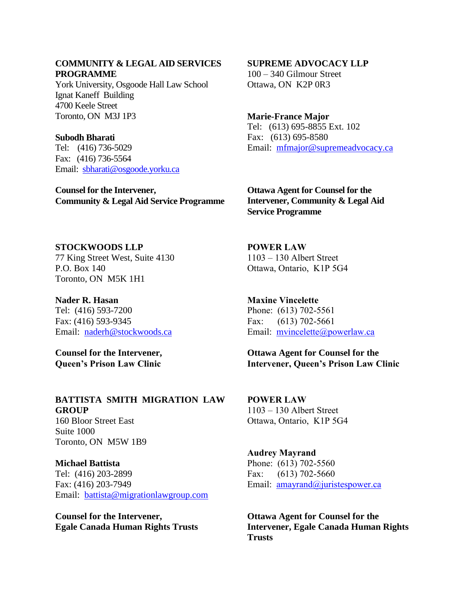#### **COMMUNITY & LEGAL AID SERVICES PROGRAMME**

York University, Osgoode Hall Law School Ignat Kaneff Building 4700 Keele Street Toronto, ON M3J 1P3

#### **Subodh Bharati**

Tel: (416) 736-5029 Fax: (416) 736-5564 Email: [sbharati@osgoode.yorku.ca](mailto:sbharati@osgoode.yorku.ca)

**Counsel for the Intervener, Community & Legal Aid Service Programme**

### **SUPREME ADVOCACY LLP**

100 – 340 Gilmour Street Ottawa, ON K2P 0R3

### **Marie-France Major** Tel: (613) 695-8855 Ext. 102 Fax: (613) 695-8580 Email: [mfmajor@supremeadvocacy.ca](mailto:mfmajor@supremeadvocacy.ca)

**Ottawa Agent for Counsel for the Intervener, Community & Legal Aid Service Programme**

### **STOCKWOODS LLP**

77 King Street West, Suite 4130 P.O. Box 140 Toronto, ON M5K 1H1

**Nader R. Hasan** Tel: (416) 593-7200 Fax: (416) 593-9345 Email: [naderh@stockwoods.ca](mailto:naderh@stockwoods.ca)

**Counsel for the Intervener, Queen's Prison Law Clinic**

## **BATTISTA SMITH MIGRATION LAW GROUP**

160 Bloor Street East Suite 1000 Toronto, ON M5W 1B9

### **Michael Battista** Tel: (416) 203-2899

Fax: (416) 203-7949 Email: [battista@migrationlawgroup.com](mailto:battista@migrationlawgroup.com)

**Counsel for the Intervener, Egale Canada Human Rights Trusts** **POWER LAW**  1103 – 130 Albert Street Ottawa, Ontario, K1P 5G4

**Maxine Vincelette** Phone: (613) 702-5561 Fax: (613) 702-5661 Email: [mvincelette@powerlaw.ca](mailto:mvincelette@powerlaw.ca)

**Ottawa Agent for Counsel for the Intervener, Queen's Prison Law Clinic** 

**POWER LAW**  1103 – 130 Albert Street Ottawa, Ontario, K1P 5G4

### **Audrey Mayrand** Phone: (613) 702-5560 Fax: (613) 702-5660 Email: <u>[amayrand@juristespower.ca](mailto:amayrand@juristespower.ca)</u>

**Ottawa Agent for Counsel for the Intervener, Egale Canada Human Rights Trusts**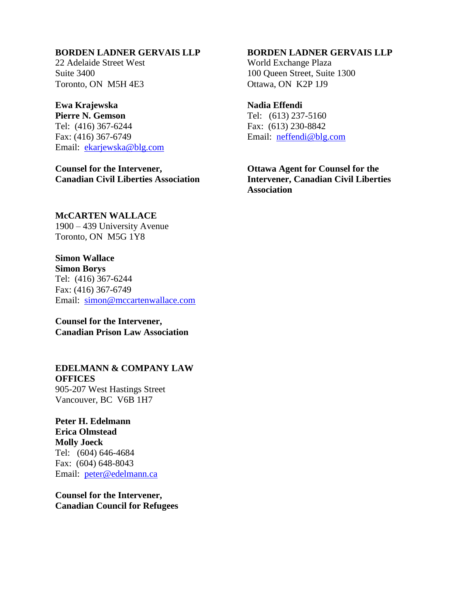### **BORDEN LADNER GERVAIS LLP**

22 Adelaide Street West Suite 3400 Toronto, ON M5H 4E3

### **Ewa Krajewska**

**Pierre N. Gemson** Tel: (416) 367-6244 Fax: (416) 367-6749 Email: [ekarjewska@blg.com](mailto:ekarjewska@blg.com)

**Counsel for the Intervener, Canadian Civil Liberties Association**

### **BORDEN LADNER GERVAIS LLP**

World Exchange Plaza 100 Queen Street, Suite 1300 Ottawa, ON K2P 1J9

### **Nadia Effendi**

Tel: (613) 237-5160 Fax: (613) 230-8842 Email: [neffendi@blg.com](mailto:neffendi@blg.com)

**Ottawa Agent for Counsel for the Intervener, Canadian Civil Liberties Association**

#### **McCARTEN WALLACE**

1900 – 439 University Avenue Toronto, ON M5G 1Y8

### **Simon Wallace Simon Borys**

Tel: (416) 367-6244 Fax: (416) 367-6749 Email: [simon@mccartenwallace.com](mailto:simon@mccartenwallace.com)

**Counsel for the Intervener, Canadian Prison Law Association**

### **EDELMANN & COMPANY LAW OFFICES** 905-207 West Hastings Street Vancouver, BC V6B 1H7

**Peter H. Edelmann Erica Olmstead Molly Joeck** Tel: (604) 646-4684 Fax: (604) 648-8043 Email: [peter@edelmann.ca](mailto:peter@edelmann.ca)

**Counsel for the Intervener, Canadian Council for Refugees**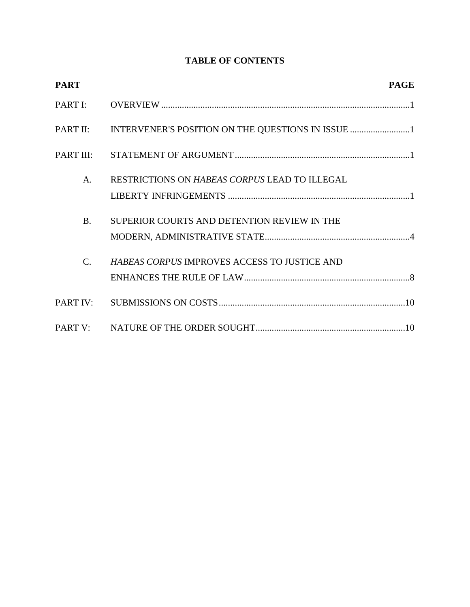## **TABLE OF CONTENTS**

| <b>PART</b>    |                                               | <b>PAGE</b> |
|----------------|-----------------------------------------------|-------------|
| PART I:        |                                               |             |
|                |                                               |             |
| PART III:      |                                               |             |
| A <sub>1</sub> | RESTRICTIONS ON HABEAS CORPUS LEAD TO ILLEGAL |             |
| <b>B.</b>      | SUPERIOR COURTS AND DETENTION REVIEW IN THE   |             |
| $C_{\cdot}$    | HABEAS CORPUS IMPROVES ACCESS TO JUSTICE AND  |             |
| PART IV:       |                                               |             |
|                |                                               |             |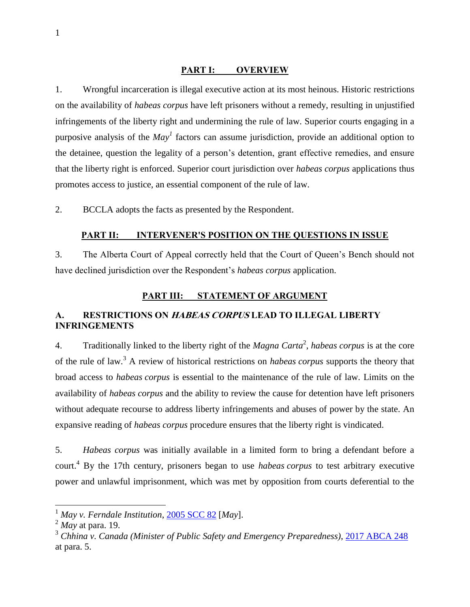#### **PART I: OVERVIEW**

<span id="page-6-0"></span>1. Wrongful incarceration is illegal executive action at its most heinous. Historic restrictions on the availability of *habeas corpus* have left prisoners without a remedy, resulting in unjustified infringements of the liberty right and undermining the rule of law. Superior courts engaging in a purposive analysis of the *May<sup>1</sup>* factors can assume jurisdiction, provide an additional option to the detainee, question the legality of a person's detention, grant effective remedies, and ensure that the liberty right is enforced. Superior court jurisdiction over *habeas corpus* applications thus promotes access to justice, an essential component of the rule of law.

<span id="page-6-1"></span>2. BCCLA adopts the facts as presented by the Respondent.

#### **PART II: INTERVENER'S POSITION ON THE QUESTIONS IN ISSUE**

3. The Alberta Court of Appeal correctly held that the Court of Queen's Bench should not have declined jurisdiction over the Respondent's *habeas corpus* application.

### **PART III: STATEMENT OF ARGUMENT**

### <span id="page-6-3"></span><span id="page-6-2"></span>**A. RESTRICTIONS ON HABEAS CORPUS LEAD TO ILLEGAL LIBERTY INFRINGEMENTS**

4. Traditionally linked to the liberty right of the *Magna Carta*<sup>2</sup> , *habeas corpus* is at the core of the rule of law.<sup>3</sup> A review of historical restrictions on *habeas corpus* supports the theory that broad access to *habeas corpus* is essential to the maintenance of the rule of law. Limits on the availability of *habeas corpus* and the ability to review the cause for detention have left prisoners without adequate recourse to address liberty infringements and abuses of power by the state. An expansive reading of *habeas corpus* procedure ensures that the liberty right is vindicated.

5. *Habeas corpus* was initially available in a limited form to bring a defendant before a court.<sup>4</sup> By the 17th century, prisoners began to use *habeas corpus* to test arbitrary executive power and unlawful imprisonment, which was met by opposition from courts deferential to the

<sup>1</sup> *May v. Ferndale Institution*, [2005 SCC 82](https://www.canlii.org/en/ca/scc/doc/2005/2005scc82/2005scc82.html?resultIndex=1) [*May*].

<sup>2</sup> *May* at para. 19.

<sup>3</sup> *Chhina v. Canada (Minister of Public Safety and Emergency Preparedness)*, [2017 ABCA 248](https://www.canlii.org/en/ab/abca/doc/2017/2017abca248/2017abca248.html?autocompleteStr=2017%20ABCA%20248%20&autocompletePos=1) at para. 5.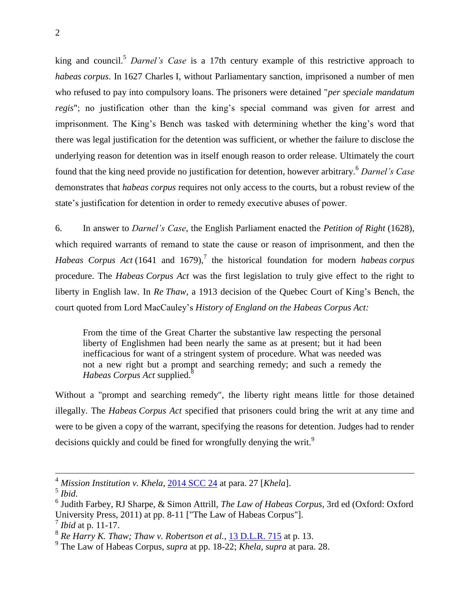king and council.<sup>5</sup> *Darnel's Case* is a 17th century example of this restrictive approach to *habeas corpus*. In 1627 Charles I, without Parliamentary sanction, imprisoned a number of men who refused to pay into compulsory loans. The prisoners were detained "*per speciale mandatum regis*"; no justification other than the king's special command was given for arrest and imprisonment. The King's Bench was tasked with determining whether the king's word that there was legal justification for the detention was sufficient, or whether the failure to disclose the underlying reason for detention was in itself enough reason to order release. Ultimately the court found that the king need provide no justification for detention, however arbitrary.<sup>6</sup> *Darnel's Case*  demonstrates that *habeas corpus* requires not only access to the courts, but a robust review of the state's justification for detention in order to remedy executive abuses of power.

6. In answer to *Darnel's Case*, the English Parliament enacted the *Petition of Right* (1628), which required warrants of remand to state the cause or reason of imprisonment, and then the *Habeas Corpus Act* (1641 and 1679),<sup>7</sup> the historical foundation for modern *habeas corpus* procedure. The *Habeas Corpus Act* was the first legislation to truly give effect to the right to liberty in English law. In *Re Thaw*, a 1913 decision of the Quebec Court of King's Bench, the court quoted from Lord MacCauley's *History of England on the Habeas Corpus Act:*

From the time of the Great Charter the substantive law respecting the personal liberty of Englishmen had been nearly the same as at present; but it had been inefficacious for want of a stringent system of procedure. What was needed was not a new right but a prompt and searching remedy; and such a remedy the *Habeas Corpus Act* supplied.<sup>8</sup>

Without a "prompt and searching remedy", the liberty right means little for those detained illegally. The *Habeas Corpus Act* specified that prisoners could bring the writ at any time and were to be given a copy of the warrant, specifying the reasons for detention. Judges had to render decisions quickly and could be fined for wrongfully denying the writ.<sup>9</sup>

<sup>4</sup> *Mission Institution v. Khela*, [2014 SCC 24](https://www.canlii.org/en/ca/scc/doc/2014/2014scc24/2014scc24.html?autocompleteStr=khela&autocompletePos=2) at para. 27 [*Khela*].

<sup>5</sup> *Ibid*.

<sup>6</sup> Judith Farbey, RJ Sharpe, & Simon Attrill, *The Law of Habeas Corpus*, 3rd ed (Oxford: Oxford University Press, 2011) at pp. 8-11 ["The Law of Habeas Corpus"].

<sup>7</sup> *Ibid* at p. 11-17.

<sup>&</sup>lt;sup>8</sup> Re Harry K. Thaw; Thaw v. Robertson et al., [13 D.L.R. 715](https://www.canlii.org/en/qc/qccq/doc/1913/1913canlii703/1913canlii703.html) at p. 13.

<sup>9</sup> The Law of Habeas Corpus, *supra* at pp. 18-22; *Khela*, *supra* at para. 28.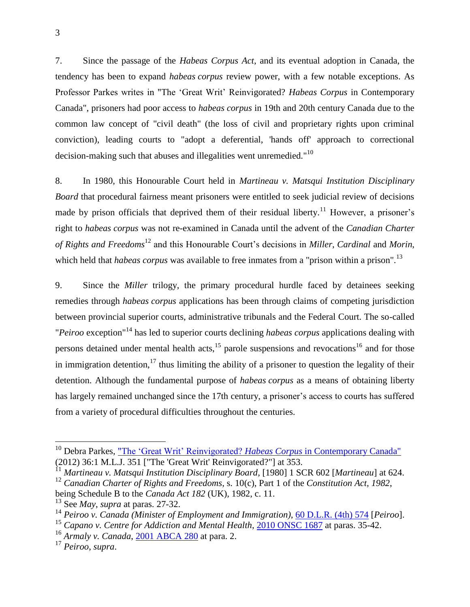7. Since the passage of the *Habeas Corpus Act*, and its eventual adoption in Canada, the tendency has been to expand *habeas corpus* review power, with a few notable exceptions. As Professor Parkes writes in "The 'Great Writ' Reinvigorated? *Habeas Corpus* in Contemporary Canada", prisoners had poor access to *habeas corpus* in 19th and 20th century Canada due to the common law concept of "civil death" (the loss of civil and proprietary rights upon criminal conviction), leading courts to "adopt a deferential, 'hands off' approach to correctional decision-making such that abuses and illegalities went unremedied."<sup>10</sup>

8. In 1980, this Honourable Court held in *Martineau v. Matsqui Institution Disciplinary Board* that procedural fairness meant prisoners were entitled to seek judicial review of decisions made by prison officials that deprived them of their residual liberty.<sup>11</sup> However, a prisoner's right to *habeas corpus* was not re-examined in Canada until the advent of the *Canadian Charter of Rights and Freedoms*<sup>12</sup> and this Honourable Court's decisions in *Miller*, *Cardinal* and *Morin*, which held that *habeas corpus* was available to free inmates from a "prison within a prison".<sup>13</sup>

9. Since the *Miller* trilogy, the primary procedural hurdle faced by detainees seeking remedies through *habeas corpus* applications has been through claims of competing jurisdiction between provincial superior courts, administrative tribunals and the Federal Court. The so-called "*Peiroo* exception"<sup>14</sup> has led to superior courts declining *habeas corpus* applications dealing with persons detained under mental health acts, $^{15}$  parole suspensions and revocations<sup>16</sup> and for those in immigration detention,<sup>17</sup> thus limiting the ability of a prisoner to question the legality of their detention. Although the fundamental purpose of *habeas corpus* as a means of obtaining liberty has largely remained unchanged since the 17th century, a prisoner's access to courts has suffered from a variety of procedural difficulties throughout the centuries.

<sup>&</sup>lt;sup>10</sup> Debra Parkes, <u>"The 'Great Writ' Reinvigorated? *Habeas Corpus* in Contemporary Canada"</u> (2012) 36:1 M.L.J. 351 ["The 'Great Writ' Reinvigorated?"] at 353.

<sup>11</sup> *Martineau v. Matsqui Institution Disciplinary Board*, [1980] 1 SCR 602 [*Martineau*] at 624.

<sup>12</sup> *Canadian Charter of Rights and Freedoms*, s. 10(c), Part 1 of the *Constitution Act, 1982*, being Schedule B to the *Canada Act 182* (UK), 1982, c. 11.

<sup>13</sup> See *May*, *supra* at paras. 27-32.

<sup>14</sup> *Peiroo v. Canada (Minister of Employment and Immigration)*, [60 D.L.R. \(4th\) 574](https://www.canlii.org/en/on/onca/doc/1989/1989canlii184/1989canlii184.html?resultIndex=1) [*Peiroo*].

<sup>15</sup> *Capano v. Centre for Addiction and Mental Health*, [2010 ONSC 1687](https://www.canlii.org/en/on/onsc/doc/2010/2010onsc1687/2010onsc1687.html?autocompleteStr=capano%20v%20&autocompletePos=2) at paras. 35-42.

<sup>16</sup> *Armaly v. Canada*, [2001 ABCA 280](https://www.canlii.org/en/ab/abca/doc/2001/2001abca280/2001abca280.html) at para. 2.

<sup>17</sup> *Peiroo*, *supra*.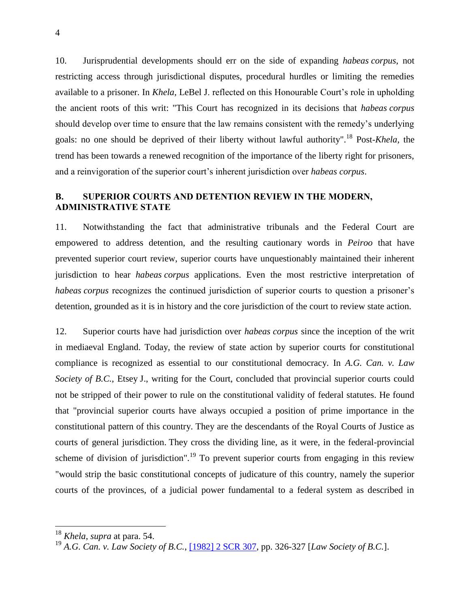10. Jurisprudential developments should err on the side of expanding *habeas corpus*, not restricting access through jurisdictional disputes, procedural hurdles or limiting the remedies available to a prisoner. In *Khela*, LeBel J. reflected on this Honourable Court's role in upholding the ancient roots of this writ: "This Court has recognized in its decisions that *habeas corpus*  should develop over time to ensure that the law remains consistent with the remedy's underlying goals: no one should be deprived of their liberty without lawful authority".<sup>18</sup> Post-*Khela*, the trend has been towards a renewed recognition of the importance of the liberty right for prisoners, and a reinvigoration of the superior court's inherent jurisdiction over *habeas corpus*.

### <span id="page-9-0"></span>**B. SUPERIOR COURTS AND DETENTION REVIEW IN THE MODERN, ADMINISTRATIVE STATE**

11. Notwithstanding the fact that administrative tribunals and the Federal Court are empowered to address detention, and the resulting cautionary words in *Peiroo* that have prevented superior court review, superior courts have unquestionably maintained their inherent jurisdiction to hear *habeas corpus* applications. Even the most restrictive interpretation of *habeas corpus* recognizes the continued jurisdiction of superior courts to question a prisoner's detention, grounded as it is in history and the core jurisdiction of the court to review state action.

12. Superior courts have had jurisdiction over *habeas corpus* since the inception of the writ in mediaeval England. Today, the review of state action by superior courts for constitutional compliance is recognized as essential to our constitutional democracy. In *A.G. Can. v. Law Society of B.C.*, Etsey J., writing for the Court, concluded that provincial superior courts could not be stripped of their power to rule on the constitutional validity of federal statutes. He found that "provincial superior courts have always occupied a position of prime importance in the constitutional pattern of this country. They are the descendants of the Royal Courts of Justice as courts of general jurisdiction. They cross the dividing line, as it were, in the federal-provincial scheme of division of jurisdiction".<sup>19</sup> To prevent superior courts from engaging in this review "would strip the basic constitutional concepts of judicature of this country, namely the superior courts of the provinces, of a judicial power fundamental to a federal system as described in

<sup>18</sup> *Khela*, *supra* at para. 54.

<sup>19</sup> *A.G. Can. v. Law Society of B.C.*, [\[1982\] 2 SCR 307,](https://www.canlii.org/en/ca/scc/doc/1982/1982canlii29/1982canlii29.html?resultIndex=1) pp. 326-327 [*Law Society of B.C.*].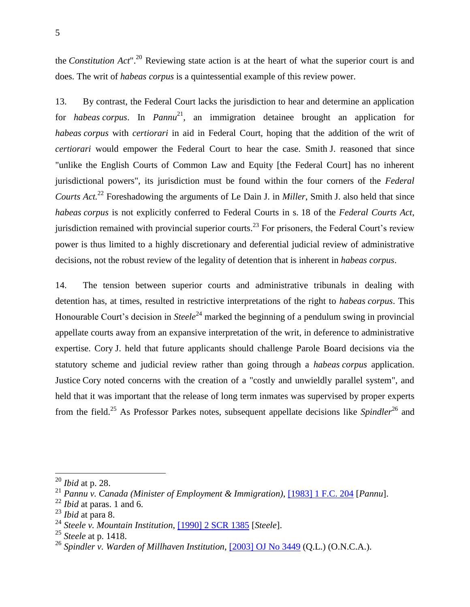the *Constitution Act*".<sup>20</sup> Reviewing state action is at the heart of what the superior court is and does. The writ of *habeas corpus* is a quintessential example of this review power.

13. By contrast, the Federal Court lacks the jurisdiction to hear and determine an application for *habeas corpus*. In *Pannu*<sup>21</sup>, an immigration detainee brought an application for *habeas corpus* with *certiorari* in aid in Federal Court, hoping that the addition of the writ of *certiorari* would empower the Federal Court to hear the case. Smith J. reasoned that since "unlike the English Courts of Common Law and Equity [the Federal Court] has no inherent jurisdictional powers", its jurisdiction must be found within the four corners of the *Federal Courts Act.*<sup>22</sup> Foreshadowing the arguments of Le Dain J. in *Miller*, Smith J. also held that since *habeas corpus* is not explicitly conferred to Federal Courts in s. 18 of the *Federal Courts Act*, jurisdiction remained with provincial superior courts.<sup>23</sup> For prisoners, the Federal Court's review power is thus limited to a highly discretionary and deferential judicial review of administrative decisions, not the robust review of the legality of detention that is inherent in *habeas corpus*.

14. The tension between superior courts and administrative tribunals in dealing with detention has, at times, resulted in restrictive interpretations of the right to *habeas corpus*. This Honourable Court's decision in *Steele*<sup>24</sup> marked the beginning of a pendulum swing in provincial appellate courts away from an expansive interpretation of the writ, in deference to administrative expertise. Cory J. held that future applicants should challenge Parole Board decisions via the statutory scheme and judicial review rather than going through a *habeas corpus* application. Justice Cory noted concerns with the creation of a "costly and unwieldly parallel system", and held that it was important that the release of long term inmates was supervised by proper experts from the field.<sup>25</sup> As Professor Parkes notes, subsequent appellate decisions like *Spindler*<sup>26</sup> and

<sup>20</sup> *Ibid* at p. 28.

<sup>21</sup> *Pannu v. Canada (Minister of Employment & Immigration)*, [\[1983\] 1 F.C. 204](https://advance.lexis.com/api/permalink/3a4a83bf-b7a3-41d7-ac38-fd6e0b508a56/?context=1505209) [*Pannu*].

<sup>22</sup> *Ibid* at paras. 1 and 6.

<sup>23</sup> *Ibid* at para 8.

<sup>24</sup> *Steele v. Mountain Institution*, [\[1990\] 2 SCR 1385](https://www.canlii.org/en/ca/scc/doc/1990/1990canlii50/1990canlii50.html?autocompleteStr=%5B1990%5D%202%20SCR%201385%20&autocompletePos=1) [*Steele*].

<sup>25</sup> *Steele* at p. 1418.

<sup>26</sup> *Spindler v. Warden of Millhaven Institution*, [\[2003\] OJ No 3449](https://www.canlii.org/en/on/onca/doc/2003/2003canlii32901/2003canlii32901.html?autocompleteStr=Spindler%20v.%20Millhaven%20Institution&autocompletePos=1) (Q.L.) (O.N.C.A.).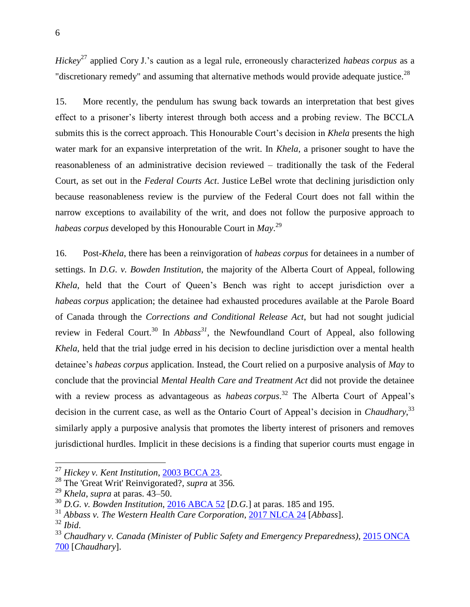*Hickey*<sup>27</sup> applied Cory J.'s caution as a legal rule, erroneously characterized *habeas corpus* as a "discretionary remedy" and assuming that alternative methods would provide adequate justice.<sup>28</sup>

15. More recently, the pendulum has swung back towards an interpretation that best gives effect to a prisoner's liberty interest through both access and a probing review. The BCCLA submits this is the correct approach. This Honourable Court's decision in *Khela* presents the high water mark for an expansive interpretation of the writ. In *Khela*, a prisoner sought to have the reasonableness of an administrative decision reviewed – traditionally the task of the Federal Court, as set out in the *Federal Courts Act*. Justice LeBel wrote that declining jurisdiction only because reasonableness review is the purview of the Federal Court does not fall within the narrow exceptions to availability of the writ, and does not follow the purposive approach to *habeas corpus* developed by this Honourable Court in *May*. 29

16. Post-*Khela*, there has been a reinvigoration of *habeas corpus* for detainees in a number of settings. In *D.G. v. Bowden Institution*, the majority of the Alberta Court of Appeal, following *Khela*, held that the Court of Queen's Bench was right to accept jurisdiction over a *habeas corpus* application; the detainee had exhausted procedures available at the Parole Board of Canada through the *Corrections and Conditional Release Act*, but had not sought judicial review in Federal Court.<sup>30</sup> In *Abbass*<sup>31</sup>, the Newfoundland Court of Appeal, also following *Khela*, held that the trial judge erred in his decision to decline jurisdiction over a mental health detainee's *habeas corpus* application. Instead, the Court relied on a purposive analysis of *May* to conclude that the provincial *Mental Health Care and Treatment Act* did not provide the detainee with a review process as advantageous as *habeas corpus*. <sup>32</sup> The Alberta Court of Appeal's decision in the current case, as well as the Ontario Court of Appeal's decision in *Chaudhary*, 33 similarly apply a purposive analysis that promotes the liberty interest of prisoners and removes jurisdictional hurdles. Implicit in these decisions is a finding that superior courts must engage in

<sup>27</sup> *Hickey v. Kent Institution*, [2003 BCCA 23.](https://www.canlii.org/en/bc/bcca/doc/2003/2003bcca23/2003bcca23.html?autocompleteStr=Hickey%20v.%20Kent%20Institution&autocompletePos=1)

<sup>28</sup> The 'Great Writ' Reinvigorated?, *supra* at 356*.*

<sup>29</sup> *Khela*, *supra* at paras. 43–50.

<sup>30</sup> *D.G. v. Bowden Institution*, [2016 ABCA 52](https://www.canlii.org/en/ab/abca/doc/2016/2016abca52/2016abca52.html?autocompleteStr=2016%20ABCA%2052&autocompletePos=1) [*D.G.*] at paras. 185 and 195.

<sup>31</sup> *Abbass v. The Western Health Care Corporation*, [2017 NLCA 24](https://www.canlii.org/en/nl/nlca/doc/2017/2017nlca24/2017nlca24.html?autocompleteStr=2017%20NLCA%2024&autocompletePos=1) [*Abbass*].

<sup>32</sup> *Ibid*.

<sup>33</sup> *Chaudhary v. Canada (Minister of Public Safety and Emergency Preparedness)*, [2015 ONCA](https://www.canlii.org/en/on/onca/doc/2015/2015onca700/2015onca700.html?autocompleteStr=2015%20ONCA%20700&autocompletePos=1)  [700](https://www.canlii.org/en/on/onca/doc/2015/2015onca700/2015onca700.html?autocompleteStr=2015%20ONCA%20700&autocompletePos=1) [*Chaudhary*].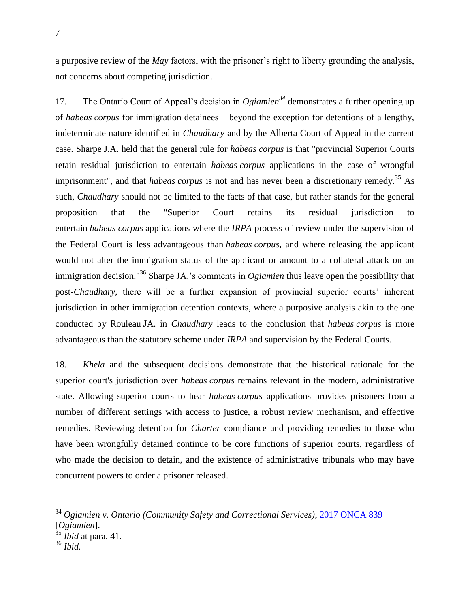a purposive review of the *May* factors, with the prisoner's right to liberty grounding the analysis, not concerns about competing jurisdiction.

17. The Ontario Court of Appeal's decision in *Ogiamien<sup>34</sup>* demonstrates a further opening up of *habeas corpus* for immigration detainees – beyond the exception for detentions of a lengthy, indeterminate nature identified in *Chaudhary* and by the Alberta Court of Appeal in the current case. Sharpe J.A. held that the general rule for *habeas corpus* is that "provincial Superior Courts retain residual jurisdiction to entertain *habeas corpus* applications in the case of wrongful imprisonment", and that *habeas corpus* is not and has never been a discretionary remedy.<sup>35</sup> As such, *Chaudhary* should not be limited to the facts of that case, but rather stands for the general proposition that the "Superior Court retains its residual jurisdiction to entertain *habeas corpus* applications where the *IRPA* process of review under the supervision of the Federal Court is less advantageous than *habeas corpus*, and where releasing the applicant would not alter the immigration status of the applicant or amount to a collateral attack on an immigration decision."<sup>36</sup> Sharpe JA.'s comments in *Ogiamien* thus leave open the possibility that post-*Chaudhary,* there will be a further expansion of provincial superior courts' inherent jurisdiction in other immigration detention contexts*,* where a purposive analysis akin to the one conducted by Rouleau JA. in *Chaudhary* leads to the conclusion that *habeas corpus* is more advantageous than the statutory scheme under *IRPA* and supervision by the Federal Courts.

18. *Khela* and the subsequent decisions demonstrate that the historical rationale for the superior court's jurisdiction over *habeas corpus* remains relevant in the modern, administrative state. Allowing superior courts to hear *habeas corpus* applications provides prisoners from a number of different settings with access to justice, a robust review mechanism, and effective remedies. Reviewing detention for *Charter* compliance and providing remedies to those who have been wrongfully detained continue to be core functions of superior courts, regardless of who made the decision to detain, and the existence of administrative tribunals who may have concurrent powers to order a prisoner released.

<sup>34</sup> *Ogiamien v. Ontario (Community Safety and Correctional Services)*, [2017 ONCA 839](https://www.canlii.org/en/on/onca/doc/2017/2017onca839/2017onca839.html?autocompleteStr=2017%20ONCA%20839&autocompletePos=1) [*Ogiamien*].

<sup>35</sup> *Ibid* at para. 41.

<sup>36</sup> *Ibid.*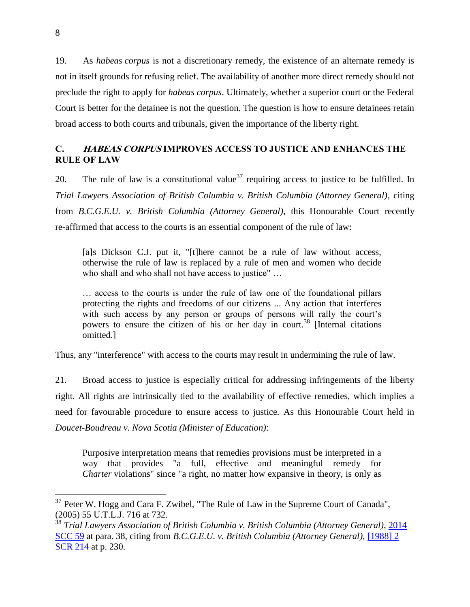19. As *habeas corpus* is not a discretionary remedy, the existence of an alternate remedy is not in itself grounds for refusing relief. The availability of another more direct remedy should not preclude the right to apply for *habeas corpus*. Ultimately, whether a superior court or the Federal Court is better for the detainee is not the question. The question is how to ensure detainees retain broad access to both courts and tribunals, given the importance of the liberty right.

### <span id="page-13-0"></span>**C. HABEAS CORPUS IMPROVES ACCESS TO JUSTICE AND ENHANCES THE RULE OF LAW**

20. The rule of law is a constitutional value<sup>37</sup> requiring access to justice to be fulfilled. In *Trial Lawyers Association of British Columbia v. British Columbia (Attorney General)*, citing from *B.C.G.E.U. v. British Columbia (Attorney General)*, this Honourable Court recently re-affirmed that access to the courts is an essential component of the rule of law:

[a]s Dickson C.J. put it, "[t]here cannot be a rule of law without access, otherwise the rule of law is replaced by a rule of men and women who decide who shall and who shall not have access to justice" …

… access to the courts is under the rule of law one of the foundational pillars protecting the rights and freedoms of our citizens ... Any action that interferes with such access by any person or groups of persons will rally the court's powers to ensure the citizen of his or her day in court.<sup>38</sup> [Internal citations omitted.]

Thus, any "interference" with access to the courts may result in undermining the rule of law.

21. Broad access to justice is especially critical for addressing infringements of the liberty right. All rights are intrinsically tied to the availability of effective remedies, which implies a need for favourable procedure to ensure access to justice. As this Honourable Court held in *Doucet-Boudreau v. Nova Scotia (Minister of Education)*:

Purposive interpretation means that remedies provisions must be interpreted in a way that provides "a full, effective and meaningful remedy for *Charter* violations" since "a right, no matter how expansive in theory, is only as

 $37$  Peter W. Hogg and Cara F. Zwibel, "The Rule of Law in the Supreme Court of Canada", (2005) 55 U.T.L.J. 716 at 732.

<sup>38</sup> *Trial Lawyers Association of British Columbia v. British Columbia (Attorney General)*, [2014](https://www.canlii.org/en/ca/scc/doc/2014/2014scc59/2014scc59.html)  [SCC 59](https://www.canlii.org/en/ca/scc/doc/2014/2014scc59/2014scc59.html) at para. 38, citing from *B.C.G.E.U. v. British Columbia (Attorney General)*, [\[1988\] 2](https://www.canlii.org/en/ca/scc/doc/1988/1988canlii3/1988canlii3.html?resultIndex=1)  [SCR 214](https://www.canlii.org/en/ca/scc/doc/1988/1988canlii3/1988canlii3.html?resultIndex=1) at p. 230.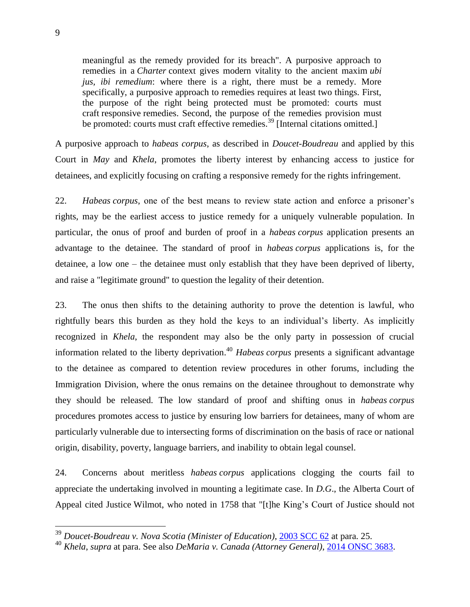meaningful as the remedy provided for its breach". A purposive approach to remedies in a *Charter* context gives modern vitality to the ancient maxim *ubi jus, ibi remedium*: where there is a right, there must be a remedy. More specifically, a purposive approach to remedies requires at least two things. First, the purpose of the right being protected must be promoted: courts must craft responsive remedies. Second, the purpose of the remedies provision must be promoted: courts must craft effective remedies.<sup>39</sup> [Internal citations omitted.]

A purposive approach to *habeas corpus*, as described in *Doucet-Boudreau* and applied by this Court in *May* and *Khela*, promotes the liberty interest by enhancing access to justice for detainees, and explicitly focusing on crafting a responsive remedy for the rights infringement.

22. *Habeas corpus*, one of the best means to review state action and enforce a prisoner's rights, may be the earliest access to justice remedy for a uniquely vulnerable population. In particular, the onus of proof and burden of proof in a *habeas corpus* application presents an advantage to the detainee. The standard of proof in *habeas corpus* applications is, for the detainee, a low one – the detainee must only establish that they have been deprived of liberty, and raise a "legitimate ground" to question the legality of their detention.

23. The onus then shifts to the detaining authority to prove the detention is lawful, who rightfully bears this burden as they hold the keys to an individual's liberty. As implicitly recognized in *Khela*, the respondent may also be the only party in possession of crucial information related to the liberty deprivation. <sup>40</sup> *Habeas corpus* presents a significant advantage to the detainee as compared to detention review procedures in other forums, including the Immigration Division, where the onus remains on the detainee throughout to demonstrate why they should be released. The low standard of proof and shifting onus in *habeas corpus*  procedures promotes access to justice by ensuring low barriers for detainees, many of whom are particularly vulnerable due to intersecting forms of discrimination on the basis of race or national origin, disability, poverty, language barriers, and inability to obtain legal counsel.

24. Concerns about meritless *habeas corpus* applications clogging the courts fail to appreciate the undertaking involved in mounting a legitimate case. In *D.G*., the Alberta Court of Appeal cited Justice Wilmot, who noted in 1758 that "[t]he King's Court of Justice should not

<sup>39</sup> *Doucet-Boudreau v. Nova Scotia (Minister of Education)*, [2003 SCC 62](https://www.canlii.org/en/ca/scc/doc/2003/2003scc62/2003scc62.html?autocompleteStr=2003%20SCC%2062%20&autocompletePos=1) at para. 25.

<sup>40</sup> *Khela*, *supra* at para. See also *DeMaria v. Canada (Attorney General)*, [2014 ONSC 3683.](https://www.canlii.org/en/on/onsc/doc/2014/2014onsc3683/2014onsc3683.html?autocompleteStr=2014%20ONSC%203683&autocompletePos=1)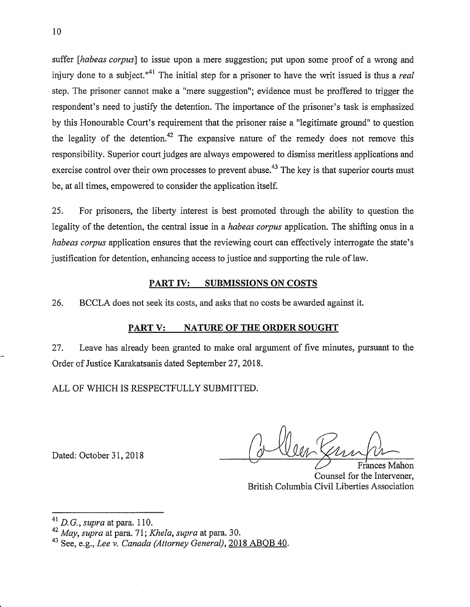suffer *[habeas corpus]* to issue upon a mere suggestion; put upon some proof of a wrong and injury done to a subject.<sup>"41</sup> The initial step for a prisoner to have the writ issued is thus a *real* step. The prisoner cannot make a "mere suggestion"; evidence must be proffered to trigger the respondent's need to justify the detention. The importance of the prisoner's task is emphasized by this Honourable Court's requirement that the prisoner raise a "legitimate ground" to question the legality of the detention.<sup>42</sup> The expansive nature of the remedy does not remove this responsibility. Superior court judges are always empowered to dismiss meritless applications and exercise control over their own processes to prevent abuse.<sup>43</sup> The key is that superior courts must be, at all times, empowered to consider the application itself.

25. For prisoners, the liberty interest is best promoted through the ability to question the legality of the detention, the central issue in a *habeas corpus* application. The shifting onus in a *habeas corpus* application ensures that the reviewing court can effectively interrogate the state's justification for detention, enhancing access to justice and supporting the rule of law.

#### **PART IV: SUBMISSIONS ON COSTS**

26. BCCLA does not seek its costs, and asks that no costs be awarded against it.

#### **PART V: NATURE OF THE ORDER SOUGHT**

27. Leave has already been granted to make oral argument of five minutes, pursuant to the Order of Justice Karakatsanis dated September 27, 2018.

ALL OF WHICH IS RESPECTFULLY SUBMITTED.

Dated: October 31,2018

Frances Mahon Counsel for the Intervener, British Columbia Civil Liberties Association

<sup>41</sup>*D.* G., *supra* at para. 110.

<sup>42</sup>*May, supra* at para. 71; *Khela, supra* at para. 30.

<sup>43</sup> See, e.g., *Lee v. Canada (Attorney General),* 2018 ABQB 40.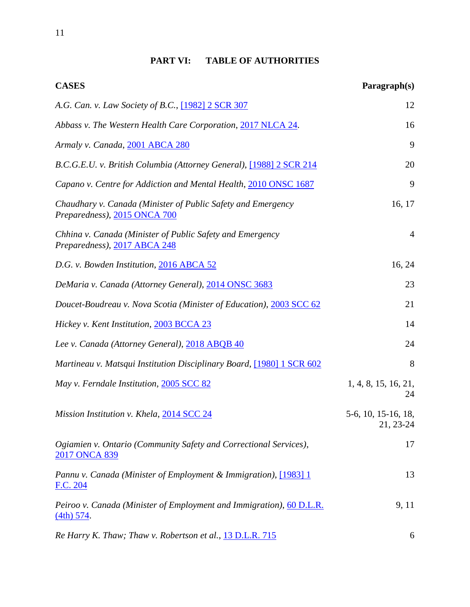## **PART VI: TABLE OF AUTHORITIES**

| <b>CASES</b>                                                                                 | Paragraph(s)                     |
|----------------------------------------------------------------------------------------------|----------------------------------|
| A.G. Can. v. Law Society of B.C., [1982] 2 SCR 307                                           | 12                               |
| Abbass v. The Western Health Care Corporation, 2017 NLCA 24.                                 | 16                               |
| Armaly v. Canada, 2001 ABCA 280                                                              | 9                                |
| B.C.G.E.U. v. British Columbia (Attorney General), [1988] 2 SCR 214                          | 20                               |
| Capano v. Centre for Addiction and Mental Health, 2010 ONSC 1687                             | 9                                |
| Chaudhary v. Canada (Minister of Public Safety and Emergency<br>Preparedness), 2015 ONCA 700 | 16, 17                           |
| Chhina v. Canada (Minister of Public Safety and Emergency<br>Preparedness), 2017 ABCA 248    | 4                                |
| D.G. v. Bowden Institution, 2016 ABCA 52                                                     | 16, 24                           |
| DeMaria v. Canada (Attorney General), 2014 ONSC 3683                                         | 23                               |
| Doucet-Boudreau v. Nova Scotia (Minister of Education), 2003 SCC 62                          | 21                               |
| Hickey v. Kent Institution, 2003 BCCA 23                                                     | 14                               |
| Lee v. Canada (Attorney General), 2018 ABQB 40                                               | 24                               |
| Martineau v. Matsqui Institution Disciplinary Board, [1980] 1 SCR 602                        | 8                                |
| May v. Ferndale Institution, 2005 SCC 82                                                     | 1, 4, 8, 15, 16, 21,<br>24       |
| Mission Institution v. Khela, 2014 SCC 24                                                    | 5-6, 10, 15-16, 18,<br>21, 23-24 |
| Ogiamien v. Ontario (Community Safety and Correctional Services),<br>2017 ONCA 839           | 17                               |
| Pannu v. Canada (Minister of Employment & Immigration), [1983] 1<br>F.C. 204                 | 13                               |
| Peiroo v. Canada (Minister of Employment and Immigration), 60 D.L.R.<br>$(4th)$ 574.         | 9, 11                            |
| Re Harry K. Thaw; Thaw v. Robertson et al., 13 D.L.R. 715                                    | 6                                |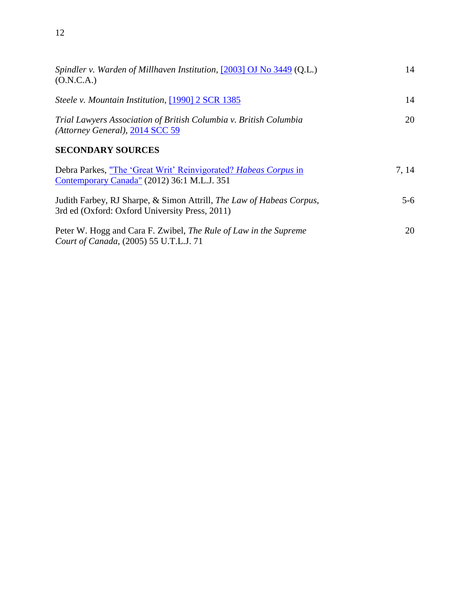| Spindler v. Warden of Millhaven Institution, $[2003]$ OJ No 3449 (Q.L.)<br>(O.N.C.A.)                                  | 14    |
|------------------------------------------------------------------------------------------------------------------------|-------|
| Steele v. Mountain Institution, [1990] 2 SCR 1385                                                                      | 14    |
| Trial Lawyers Association of British Columbia v. British Columbia<br>(Attorney General), 2014 SCC 59                   | 20    |
| <b>SECONDARY SOURCES</b>                                                                                               |       |
| Debra Parkes, "The 'Great Writ' Reinvigorated? Habeas Corpus in<br>Contemporary Canada" (2012) 36:1 M.L.J. 351         | 7, 14 |
| Judith Farbey, RJ Sharpe, & Simon Attrill, The Law of Habeas Corpus,<br>3rd ed (Oxford: Oxford University Press, 2011) | $5-6$ |
| Peter W. Hogg and Cara F. Zwibel, <i>The Rule of Law in the Supreme</i><br>Court of Canada, (2005) 55 U.T.L.J. 71      | 20    |